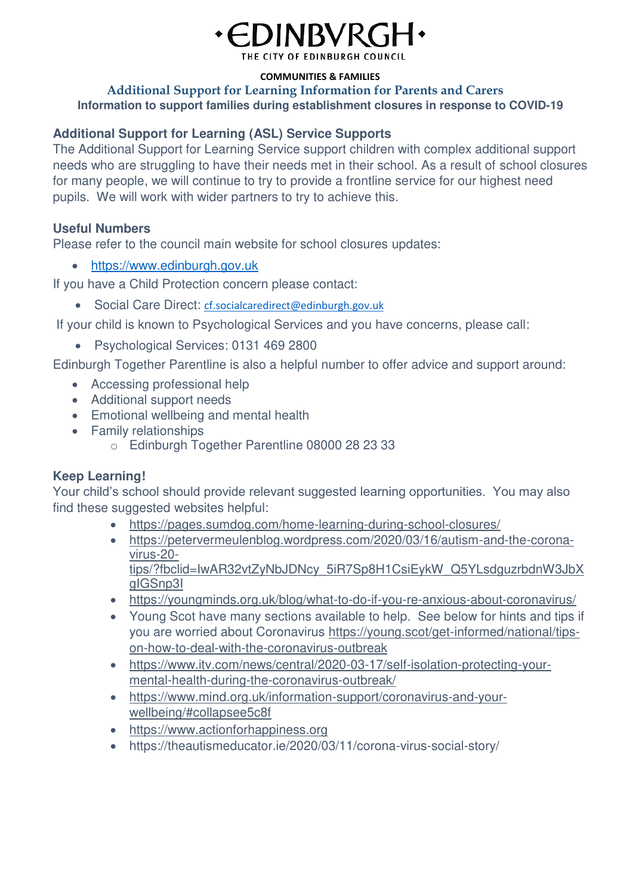# EDINBVRG

THE CITY OF EDINBURGH COUNCIL

#### **COMMUNITIES & FAMILIES**

#### **Additional Support for Learning Information for Parents and Carers Information to support families during establishment closures in response to COVID-19**

## **Additional Support for Learning (ASL) Service Supports**

The Additional Support for Learning Service support children with complex additional support needs who are struggling to have their needs met in their school. As a result of school closures for many people, we will continue to try to provide a frontline service for our highest need pupils. We will work with wider partners to try to achieve this.

## **Useful Numbers**

Please refer to the council main website for school closures updates:

• [https://www.edinburgh.gov.uk](https://www.edinburgh.gov.uk/)

If you have a Child Protection concern please contact:

• Social Care Direct: [cf.socialcaredirect@edinburgh.gov.uk](mailto:cf.socialcaredirect@edinburgh.gov.uk)

If your child is known to Psychological Services and you have concerns, please call:

• Psychological Services: 0131 469 2800

Edinburgh Together Parentline is also a helpful number to offer advice and support around:

- Accessing professional help
- Additional support needs
- Emotional wellbeing and mental health
- Family relationships
	- o Edinburgh Together Parentline 08000 28 23 33

## **Keep Learning!**

Your child's school should provide relevant suggested learning opportunities. You may also find these suggested websites helpful:

- <https://pages.sumdog.com/home-learning-during-school-closures/>
- [https://petervermeulenblog.wordpress.com/2020/03/16/autism-and-the-corona](https://petervermeulenblog.wordpress.com/2020/03/16/autism-and-the-corona-virus-20-tips/?fbclid=IwAR32vtZyNbJDNcy_5iR7Sp8H1CsiEykW_Q5YLsdguzrbdnW3JbXgIGSnp3I)[virus-20](https://petervermeulenblog.wordpress.com/2020/03/16/autism-and-the-corona-virus-20-tips/?fbclid=IwAR32vtZyNbJDNcy_5iR7Sp8H1CsiEykW_Q5YLsdguzrbdnW3JbXgIGSnp3I) [tips/?fbclid=IwAR32vtZyNbJDNcy\\_5iR7Sp8H1CsiEykW\\_Q5YLsdguzrbdnW3JbX](https://petervermeulenblog.wordpress.com/2020/03/16/autism-and-the-corona-virus-20-tips/?fbclid=IwAR32vtZyNbJDNcy_5iR7Sp8H1CsiEykW_Q5YLsdguzrbdnW3JbXgIGSnp3I) [gIGSnp3I](https://petervermeulenblog.wordpress.com/2020/03/16/autism-and-the-corona-virus-20-tips/?fbclid=IwAR32vtZyNbJDNcy_5iR7Sp8H1CsiEykW_Q5YLsdguzrbdnW3JbXgIGSnp3I)
- <https://youngminds.org.uk/blog/what-to-do-if-you-re-anxious-about-coronavirus/>
- Young Scot have many sections available to help. See below for hints and tips if you are worried about Coronavirus [https://young.scot/get-informed/national/tips](https://young.scot/get-informed/national/tips-on-how-to-deal-with-the-coronavirus-outbreak)[on-how-to-deal-with-the-coronavirus-outbreak](https://young.scot/get-informed/national/tips-on-how-to-deal-with-the-coronavirus-outbreak)
- [https://www.itv.com/news/central/2020-03-17/self-isolation-protecting-your](https://www.itv.com/news/central/2020-03-17/self-isolation-protecting-your-mental-health-during-the-coronavirus-outbreak/)[mental-health-during-the-coronavirus-outbreak/](https://www.itv.com/news/central/2020-03-17/self-isolation-protecting-your-mental-health-during-the-coronavirus-outbreak/)
- [https://www.mind.org.uk/information-support/coronavirus-and-your](https://www.mind.org.uk/information-support/coronavirus-and-your-wellbeing/#collapsee5c8f)[wellbeing/#collapsee5c8f](https://www.mind.org.uk/information-support/coronavirus-and-your-wellbeing/#collapsee5c8f)
- [https://www.actionforhappiness.org](https://www.actionforhappiness.org/)
- https://theautismeducator.ie/2020/03/11/corona-virus-social-story/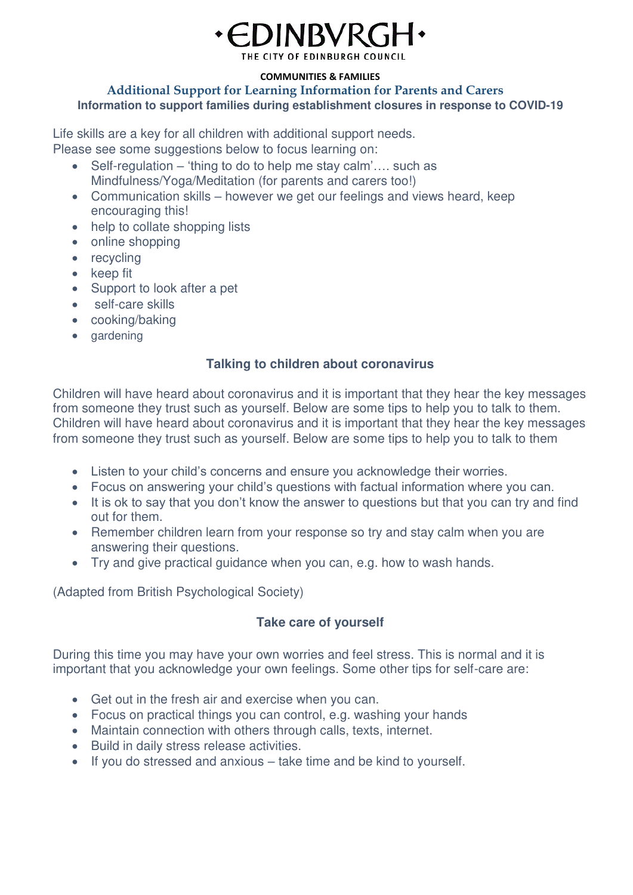

THE CITY OF EDINBURGH COUNCIL

#### **COMMUNITIES & FAMILIES**

#### **Additional Support for Learning Information for Parents and Carers Information to support families during establishment closures in response to COVID-19**

Life skills are a key for all children with additional support needs. Please see some suggestions below to focus learning on:

- Self-regulation 'thing to do to help me stay calm'…. such as Mindfulness/Yoga/Meditation (for parents and carers too!)
- Communication skills however we get our feelings and views heard, keep encouraging this!
- help to collate shopping lists
- online shopping
- recycling
- keep fit
- Support to look after a pet
- self-care skills
- cooking/baking
- gardening

# **Talking to children about coronavirus**

Children will have heard about coronavirus and it is important that they hear the key messages from someone they trust such as yourself. Below are some tips to help you to talk to them. Children will have heard about coronavirus and it is important that they hear the key messages from someone they trust such as yourself. Below are some tips to help you to talk to them

- Listen to your child's concerns and ensure you acknowledge their worries.
- Focus on answering your child's questions with factual information where you can.
- It is ok to say that you don't know the answer to questions but that you can try and find out for them.
- Remember children learn from your response so try and stay calm when you are answering their questions.
- Try and give practical guidance when you can, e.g. how to wash hands.

(Adapted from British Psychological Society)

# **Take care of yourself**

During this time you may have your own worries and feel stress. This is normal and it is important that you acknowledge your own feelings. Some other tips for self-care are:

- Get out in the fresh air and exercise when you can.
- Focus on practical things you can control, e.g. washing your hands
- Maintain connection with others through calls, texts, internet.
- Build in daily stress release activities.
- If you do stressed and anxious take time and be kind to yourself.